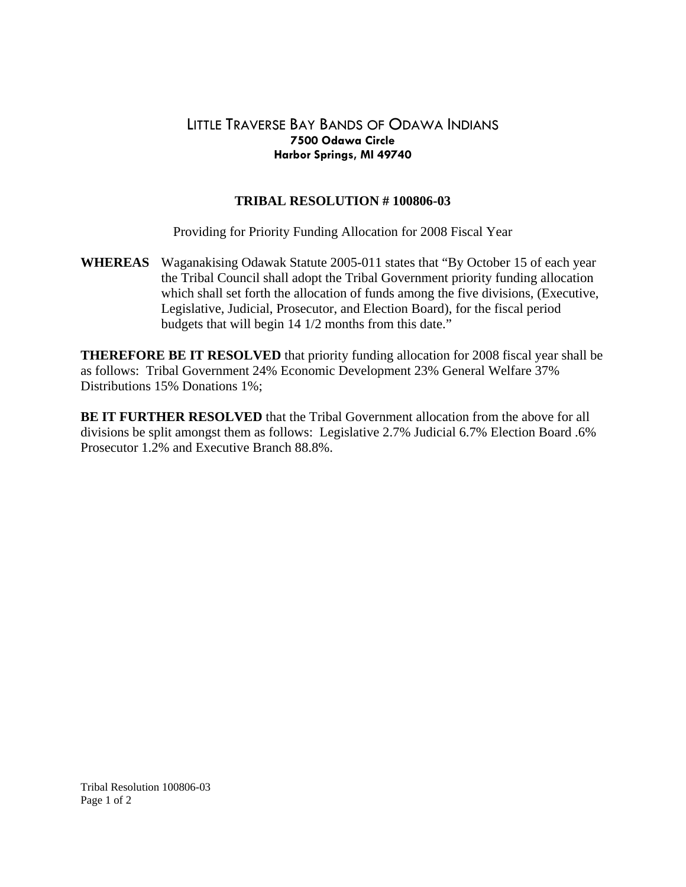## LITTLE TRAVERSE BAY BANDS OF ODAWA INDIANS **7500 Odawa Circle Harbor Springs, MI 49740**

## **TRIBAL RESOLUTION # 100806-03**

Providing for Priority Funding Allocation for 2008 Fiscal Year

**WHEREAS** Waganakising Odawak Statute 2005-011 states that "By October 15 of each year the Tribal Council shall adopt the Tribal Government priority funding allocation which shall set forth the allocation of funds among the five divisions, (Executive, Legislative, Judicial, Prosecutor, and Election Board), for the fiscal period budgets that will begin 14 1/2 months from this date."

**THEREFORE BE IT RESOLVED** that priority funding allocation for 2008 fiscal year shall be as follows: Tribal Government 24% Economic Development 23% General Welfare 37% Distributions 15% Donations 1%;

**BE IT FURTHER RESOLVED** that the Tribal Government allocation from the above for all divisions be split amongst them as follows: Legislative 2.7% Judicial 6.7% Election Board .6% Prosecutor 1.2% and Executive Branch 88.8%.